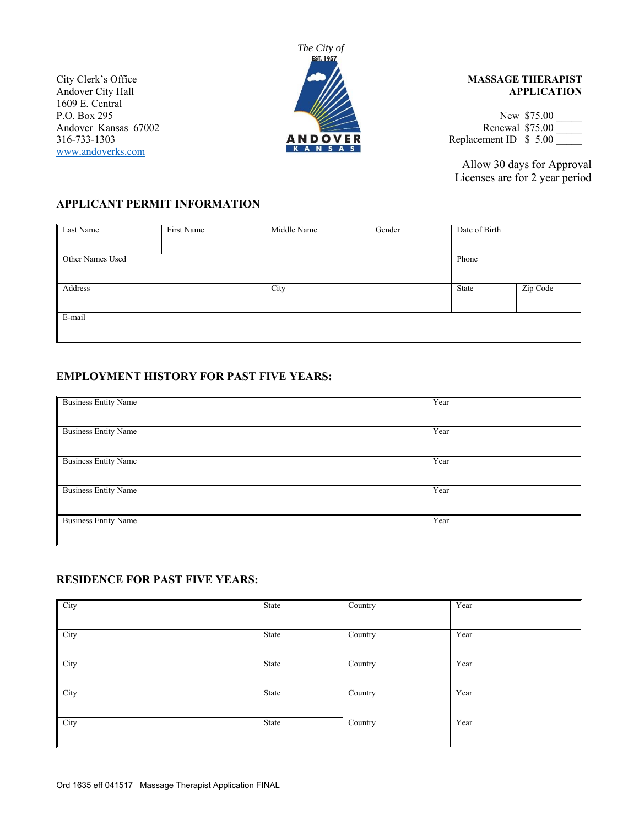1609 E. Central www.andoverks.com



### City Clerk's Office **MASSAGE THERAPIST** Andover City Hall **APPLICATION**

P.O. Box 295 New \$75.00 New \$75.00 New \$75.00 New \$75.00 New \$75.00 New \$75.00 New \$75.00 New \$75.00 New \$75.00 New \$75.00 New \$75.00 New \$75.00 New \$75.00 New \$75.00 New \$75.00 New \$75.00 New \$75.00 New \$75.00 New \$75.00 Andover Kansas 67002<br>
Andover Kansas 67002<br> **ANDOVER** Replacement ID \$ 5.00  $\begin{array}{|c|c|c|c|}\n\hline\n\textbf{X} & \textbf{A} & \textbf{N} & \textbf{S} & \textbf{A} & \textbf{S} \\
\hline\n\textbf{X} & \textbf{A} & \textbf{N} & \textbf{S} & \textbf{A} & \textbf{S} \\
\hline\n\end{array}$  Replacement ID \$ 5.00

> Allow 30 days for Approval Licenses are for 2 year period

# **APPLICANT PERMIT INFORMATION**

| Last Name        | First Name | Middle Name | Gender | Date of Birth |          |
|------------------|------------|-------------|--------|---------------|----------|
|                  |            |             |        |               |          |
| Other Names Used |            |             |        | Phone         |          |
|                  |            |             |        |               |          |
| Address          |            | City        |        | State         | Zip Code |
|                  |            |             |        |               |          |
| E-mail           |            |             |        |               |          |
|                  |            |             |        |               |          |

# **EMPLOYMENT HISTORY FOR PAST FIVE YEARS:**

| <b>Business Entity Name</b> | Year |
|-----------------------------|------|
|                             |      |
|                             |      |
|                             |      |
|                             |      |
| <b>Business Entity Name</b> | Year |
|                             |      |
|                             |      |
|                             |      |
|                             |      |
| <b>Business Entity Name</b> | Year |
|                             |      |
|                             |      |
|                             |      |
|                             |      |
| <b>Business Entity Name</b> | Year |
|                             |      |
|                             |      |
|                             |      |
|                             |      |
| <b>Business Entity Name</b> | Year |
|                             |      |
|                             |      |
|                             |      |
|                             |      |

## **RESIDENCE FOR PAST FIVE YEARS:**

| City | State | $\overline{\text{Country}}$ | Year |
|------|-------|-----------------------------|------|
| City | State | Country                     | Year |
| City | State | Country                     | Year |
| City | State | $\overline{\text{Country}}$ | Year |
| City | State | $\overline{\text{Country}}$ | Year |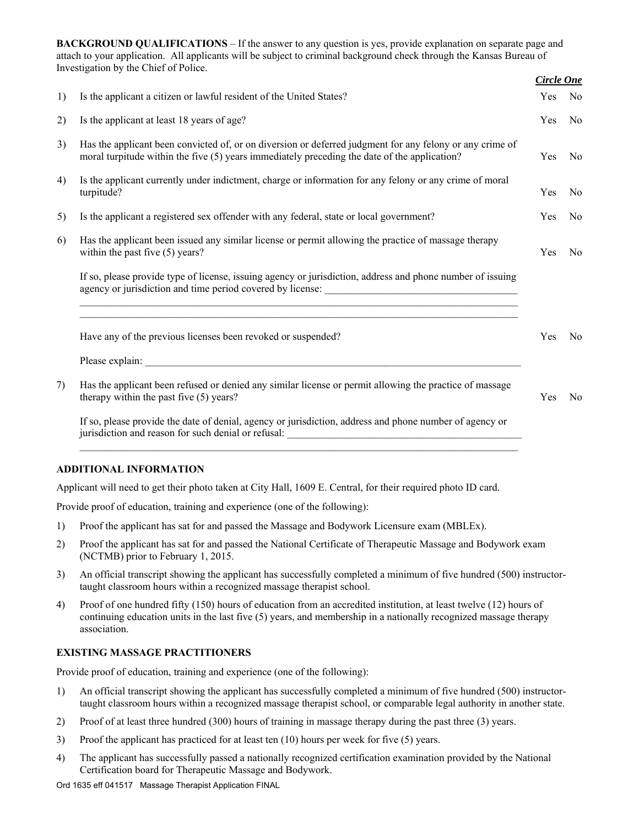**BACKGROUND QUALIFICATIONS** – If the answer to any question is yes, provide explanation on separate page and attach to your application. All applicants will be subject to criminal background check through the Kansas Bureau of Investigation by the Chief of Police.

|    |                                                                                                                                                                                                          | <b>Circle One</b> |                |
|----|----------------------------------------------------------------------------------------------------------------------------------------------------------------------------------------------------------|-------------------|----------------|
| 1) | Is the applicant a citizen or lawful resident of the United States?                                                                                                                                      | Yes               | N <sub>o</sub> |
| 2) | Is the applicant at least 18 years of age?                                                                                                                                                               | Yes               | No.            |
| 3) | Has the applicant been convicted of, or on diversion or deferred judgment for any felony or any crime of<br>moral turpitude within the five (5) years immediately preceding the date of the application? | Yes               | N <sub>o</sub> |
| 4) | Is the applicant currently under indictment, charge or information for any felony or any crime of moral<br>turpitude?                                                                                    | Yes               | No             |
| 5) | Is the applicant a registered sex offender with any federal, state or local government?                                                                                                                  | Yes               | N <sub>o</sub> |
| 6) | Has the applicant been issued any similar license or permit allowing the practice of massage therapy<br>within the past five $(5)$ years?                                                                | Yes               | N <sub>o</sub> |
|    | If so, please provide type of license, issuing agency or jurisdiction, address and phone number of issuing<br>agency or jurisdiction and time period covered by license:                                 |                   |                |
|    | <u> 1989 - Andrea Santa Andrea Andrea Andrea Andrea Andrea Andrea Andrea Andrea Andrea Andrea Andrea Andrea Andr</u><br>Have any of the previous licenses been revoked or suspended?                     | Yes               | N <sub>o</sub> |
|    |                                                                                                                                                                                                          |                   |                |
| 7) | Has the applicant been refused or denied any similar license or permit allowing the practice of massage<br>therapy within the past five (5) years?                                                       | Yes               | N <sub>0</sub> |
|    | If so, please provide the date of denial, agency or jurisdiction, address and phone number of agency or<br>jurisdiction and reason for such denial or refusal: _____________________________             |                   |                |

### **ADDITIONAL INFORMATION**

Applicant will need to get their photo taken at City Hall, 1609 E. Central, for their required photo ID card.

Provide proof of education, training and experience (one of the following):

- 1) Proof the applicant has sat for and passed the Massage and Bodywork Licensure exam (MBLEx).
- 2) Proof the applicant has sat for and passed the National Certificate of Therapeutic Massage and Bodywork exam (NCTMB) prior to February 1, 2015.
- 3) An official transcript showing the applicant has successfully completed a minimum of five hundred (500) instructortaught classroom hours within a recognized massage therapist school.
- 4) Proof of one hundred fifty (150) hours of education from an accredited institution, at least twelve (12) hours of continuing education units in the last five (5) years, and membership in a nationally recognized massage therapy association.

### **EXISTING MASSAGE PRACTITIONERS**

Provide proof of education, training and experience (one of the following):

- 1) An official transcript showing the applicant has successfully completed a minimum of five hundred (500) instructortaught classroom hours within a recognized massage therapist school, or comparable legal authority in another state.
- 2) Proof of at least three hundred (300) hours of training in massage therapy during the past three (3) years.
- 3) Proof the applicant has practiced for at least ten (10) hours per week for five (5) years.
- 4) The applicant has successfully passed a nationally recognized certification examination provided by the National Certification board for Therapeutic Massage and Bodywork.

Ord 1635 eff 041517 Massage Therapist Application FINAL